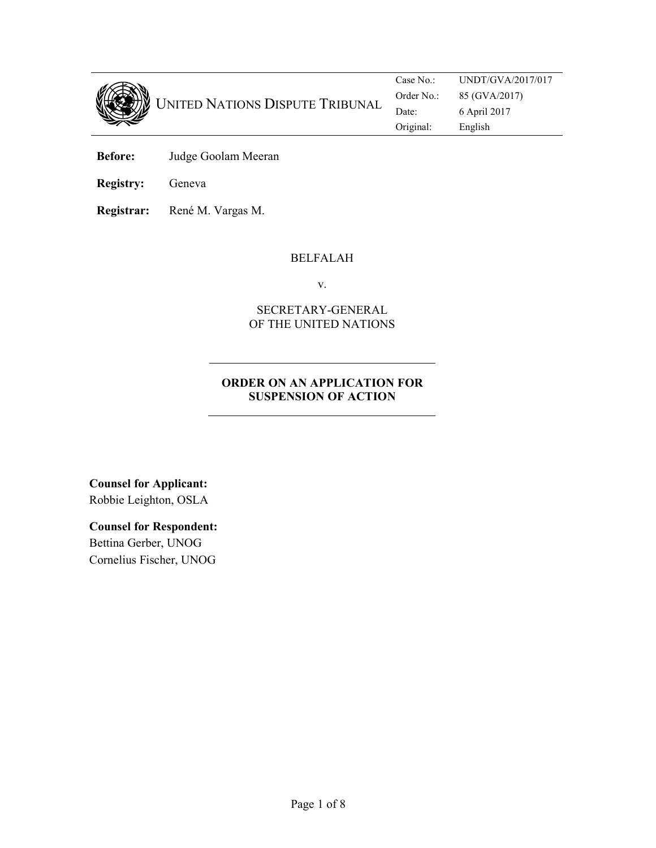

UNITED NATIONS DISPUTE TRIBUNAL Case No.: UNDT/GVA/2017/017 Order No.: 85 (GVA/2017) Date: 6 April 2017 Original: English

**Before:** Judge Goolam Meeran

**Registry:** Geneva

**Registrar:** René M. Vargas M.

# BELFALAH

v.

# SECRETARY-GENERAL OF THE UNITED NATIONS

# **ORDER ON AN APPLICATION FOR SUSPENSION OF ACTION**

**Counsel for Applicant:**  Robbie Leighton, OSLA

**Counsel for Respondent:**  Bettina Gerber, UNOG Cornelius Fischer, UNOG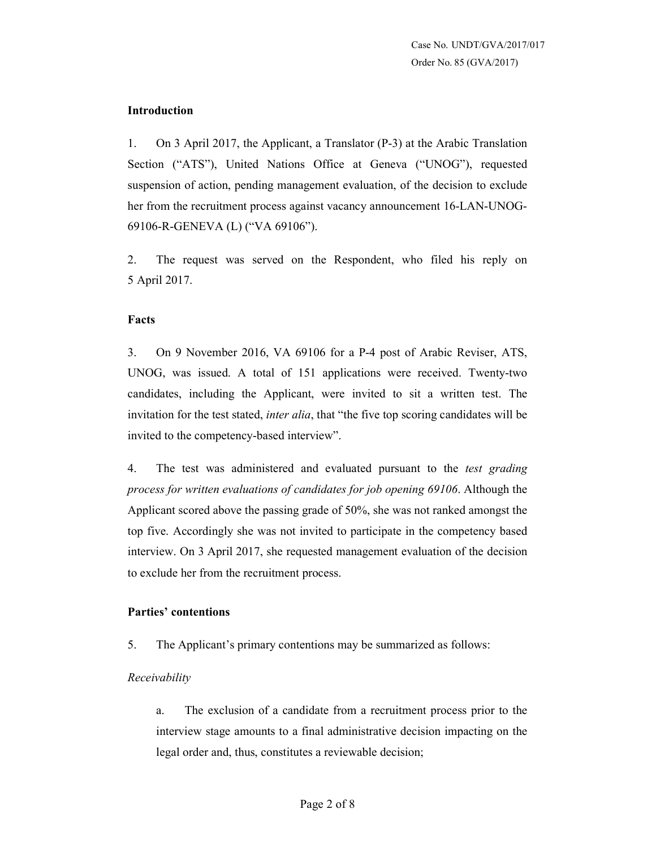#### **Introduction**

1. On 3 April 2017, the Applicant, a Translator (P-3) at the Arabic Translation Section ("ATS"), United Nations Office at Geneva ("UNOG"), requested suspension of action, pending management evaluation, of the decision to exclude her from the recruitment process against vacancy announcement 16-LAN-UNOG-69106-R-GENEVA (L) ("VA 69106").

2. The request was served on the Respondent, who filed his reply on 5 April 2017.

#### **Facts**

3. On 9 November 2016, VA 69106 for a P-4 post of Arabic Reviser, ATS, UNOG, was issued. A total of 151 applications were received. Twenty-two candidates, including the Applicant, were invited to sit a written test. The invitation for the test stated, *inter alia*, that "the five top scoring candidates will be invited to the competency-based interview".

4. The test was administered and evaluated pursuant to the *test grading process for written evaluations of candidates for job opening 69106*. Although the Applicant scored above the passing grade of 50%, she was not ranked amongst the top five. Accordingly she was not invited to participate in the competency based interview. On 3 April 2017, she requested management evaluation of the decision to exclude her from the recruitment process.

# **Parties' contentions**

5. The Applicant's primary contentions may be summarized as follows:

#### *Receivability*

a. The exclusion of a candidate from a recruitment process prior to the interview stage amounts to a final administrative decision impacting on the legal order and, thus, constitutes a reviewable decision;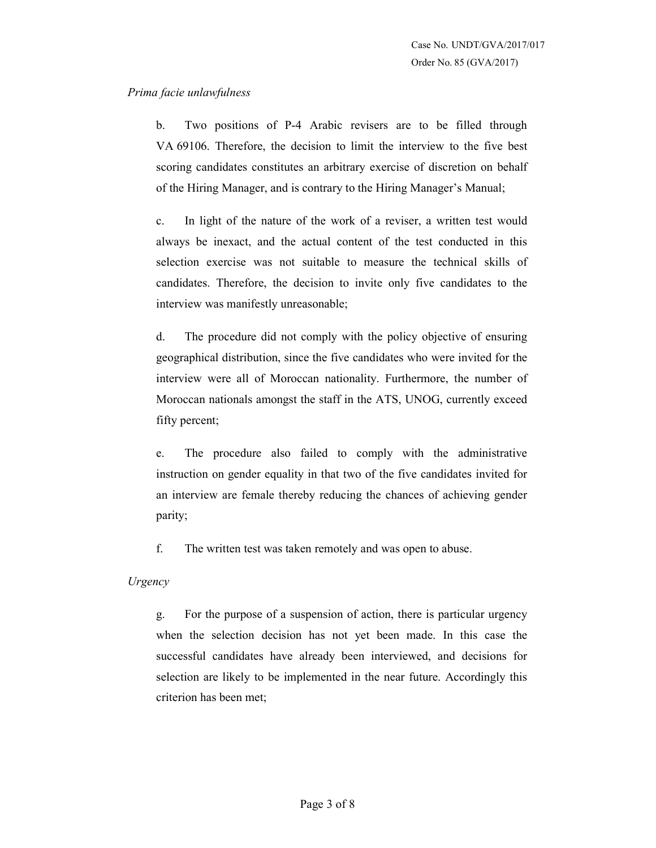### *Prima facie unlawfulness*

b. Two positions of P-4 Arabic revisers are to be filled through VA 69106. Therefore, the decision to limit the interview to the five best scoring candidates constitutes an arbitrary exercise of discretion on behalf of the Hiring Manager, and is contrary to the Hiring Manager's Manual;

c. In light of the nature of the work of a reviser, a written test would always be inexact, and the actual content of the test conducted in this selection exercise was not suitable to measure the technical skills of candidates. Therefore, the decision to invite only five candidates to the interview was manifestly unreasonable;

d. The procedure did not comply with the policy objective of ensuring geographical distribution, since the five candidates who were invited for the interview were all of Moroccan nationality. Furthermore, the number of Moroccan nationals amongst the staff in the ATS, UNOG, currently exceed fifty percent;

e. The procedure also failed to comply with the administrative instruction on gender equality in that two of the five candidates invited for an interview are female thereby reducing the chances of achieving gender parity;

f. The written test was taken remotely and was open to abuse.

*Urgency* 

g. For the purpose of a suspension of action, there is particular urgency when the selection decision has not yet been made. In this case the successful candidates have already been interviewed, and decisions for selection are likely to be implemented in the near future. Accordingly this criterion has been met;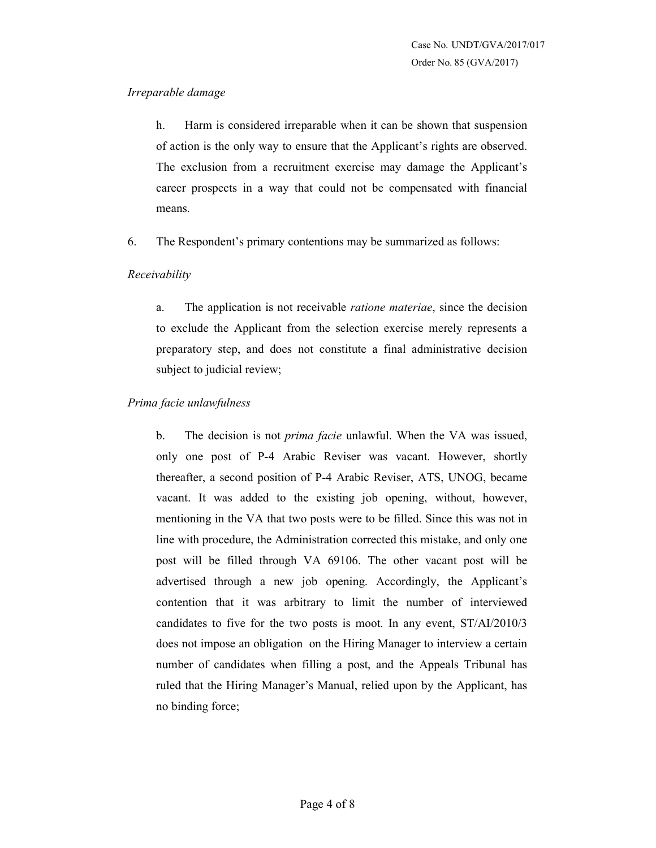### *Irreparable damage*

h. Harm is considered irreparable when it can be shown that suspension of action is the only way to ensure that the Applicant's rights are observed. The exclusion from a recruitment exercise may damage the Applicant's career prospects in a way that could not be compensated with financial means.

6. The Respondent's primary contentions may be summarized as follows:

# *Receivability*

a. The application is not receivable *ratione materiae*, since the decision to exclude the Applicant from the selection exercise merely represents a preparatory step, and does not constitute a final administrative decision subject to judicial review;

# *Prima facie unlawfulness*

b. The decision is not *prima facie* unlawful. When the VA was issued, only one post of P-4 Arabic Reviser was vacant. However, shortly thereafter, a second position of P-4 Arabic Reviser, ATS, UNOG, became vacant. It was added to the existing job opening, without, however, mentioning in the VA that two posts were to be filled. Since this was not in line with procedure, the Administration corrected this mistake, and only one post will be filled through VA 69106. The other vacant post will be advertised through a new job opening. Accordingly, the Applicant's contention that it was arbitrary to limit the number of interviewed candidates to five for the two posts is moot. In any event, ST/AI/2010/3 does not impose an obligation on the Hiring Manager to interview a certain number of candidates when filling a post, and the Appeals Tribunal has ruled that the Hiring Manager's Manual, relied upon by the Applicant, has no binding force;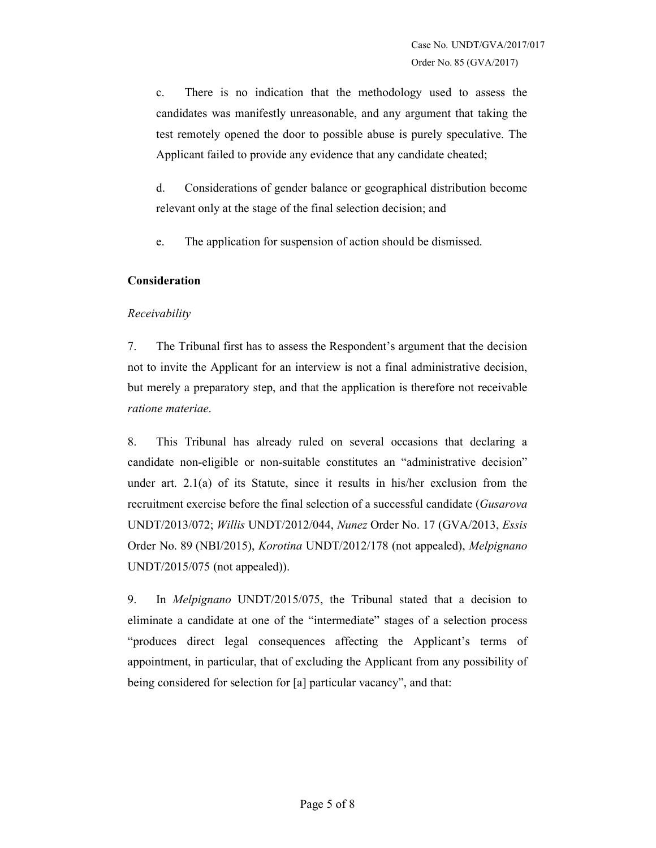c. There is no indication that the methodology used to assess the candidates was manifestly unreasonable, and any argument that taking the test remotely opened the door to possible abuse is purely speculative. The Applicant failed to provide any evidence that any candidate cheated;

d. Considerations of gender balance or geographical distribution become relevant only at the stage of the final selection decision; and

e. The application for suspension of action should be dismissed.

# **Consideration**

# *Receivability*

7. The Tribunal first has to assess the Respondent's argument that the decision not to invite the Applicant for an interview is not a final administrative decision, but merely a preparatory step, and that the application is therefore not receivable *ratione materiae*.

8. This Tribunal has already ruled on several occasions that declaring a candidate non-eligible or non-suitable constitutes an "administrative decision" under art. 2.1(a) of its Statute, since it results in his/her exclusion from the recruitment exercise before the final selection of a successful candidate (*Gusarova* UNDT/2013/072; *Willis* UNDT/2012/044, *Nunez* Order No. 17 (GVA/2013, *Essis* Order No. 89 (NBI/2015), *Korotina* UNDT/2012/178 (not appealed), *Melpignano* UNDT/2015/075 (not appealed)).

9. In *Melpignano* UNDT/2015/075, the Tribunal stated that a decision to eliminate a candidate at one of the "intermediate" stages of a selection process "produces direct legal consequences affecting the Applicant's terms of appointment, in particular, that of excluding the Applicant from any possibility of being considered for selection for [a] particular vacancy", and that: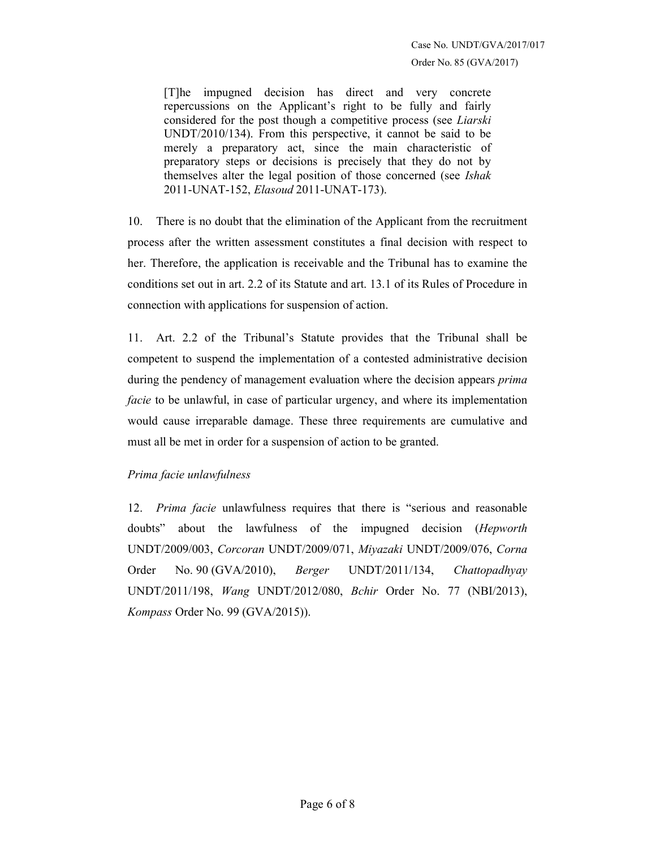[T]he impugned decision has direct and very concrete repercussions on the Applicant's right to be fully and fairly considered for the post though a competitive process (see *Liarski* UNDT/2010/134). From this perspective, it cannot be said to be merely a preparatory act, since the main characteristic of preparatory steps or decisions is precisely that they do not by themselves alter the legal position of those concerned (see *Ishak* 2011-UNAT-152, *Elasoud* 2011-UNAT-173).

10. There is no doubt that the elimination of the Applicant from the recruitment process after the written assessment constitutes a final decision with respect to her. Therefore, the application is receivable and the Tribunal has to examine the conditions set out in art. 2.2 of its Statute and art. 13.1 of its Rules of Procedure in connection with applications for suspension of action.

11. Art. 2.2 of the Tribunal's Statute provides that the Tribunal shall be competent to suspend the implementation of a contested administrative decision during the pendency of management evaluation where the decision appears *prima facie* to be unlawful, in case of particular urgency, and where its implementation would cause irreparable damage. These three requirements are cumulative and must all be met in order for a suspension of action to be granted.

# *Prima facie unlawfulness*

12. *Prima facie* unlawfulness requires that there is "serious and reasonable doubts" about the lawfulness of the impugned decision (*Hepworth* UNDT/2009/003, *Corcoran* UNDT/2009/071, *Miyazaki* UNDT/2009/076, *Corna* Order No. 90 (GVA/2010), *Berger* UNDT/2011/134, *Chattopadhyay* UNDT/2011/198, *Wang* UNDT/2012/080, *Bchir* Order No. 77 (NBI/2013), *Kompass* Order No. 99 (GVA/2015)).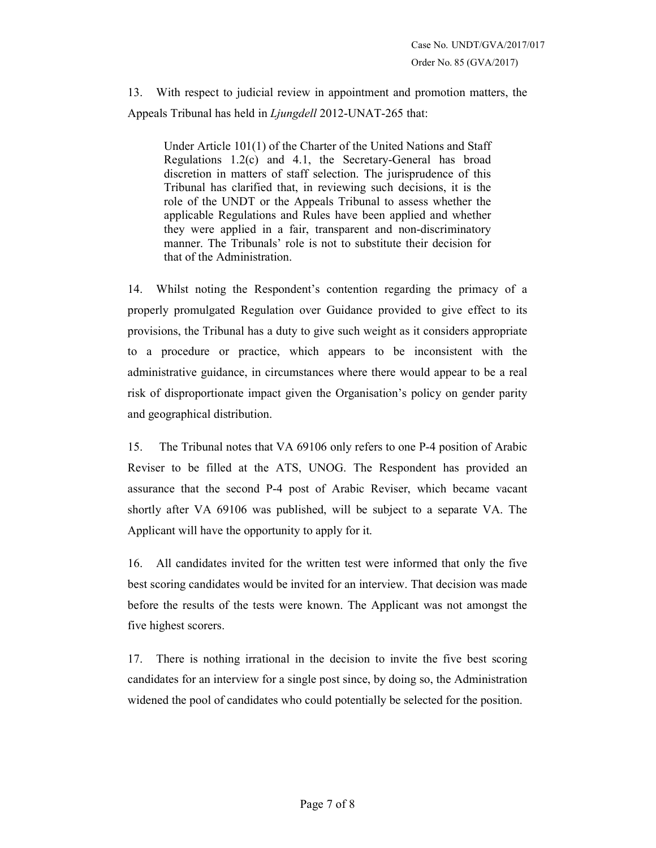13. With respect to judicial review in appointment and promotion matters, the Appeals Tribunal has held in *Ljungdell* 2012-UNAT-265 that:

Under Article 101(1) of the Charter of the United Nations and Staff Regulations 1.2(c) and 4.1, the Secretary-General has broad discretion in matters of staff selection. The jurisprudence of this Tribunal has clarified that, in reviewing such decisions, it is the role of the UNDT or the Appeals Tribunal to assess whether the applicable Regulations and Rules have been applied and whether they were applied in a fair, transparent and non-discriminatory manner. The Tribunals' role is not to substitute their decision for that of the Administration.

14. Whilst noting the Respondent's contention regarding the primacy of a properly promulgated Regulation over Guidance provided to give effect to its provisions, the Tribunal has a duty to give such weight as it considers appropriate to a procedure or practice, which appears to be inconsistent with the administrative guidance, in circumstances where there would appear to be a real risk of disproportionate impact given the Organisation's policy on gender parity and geographical distribution.

15. The Tribunal notes that VA 69106 only refers to one P-4 position of Arabic Reviser to be filled at the ATS, UNOG. The Respondent has provided an assurance that the second P-4 post of Arabic Reviser, which became vacant shortly after VA 69106 was published, will be subject to a separate VA. The Applicant will have the opportunity to apply for it.

16. All candidates invited for the written test were informed that only the five best scoring candidates would be invited for an interview. That decision was made before the results of the tests were known. The Applicant was not amongst the five highest scorers.

17. There is nothing irrational in the decision to invite the five best scoring candidates for an interview for a single post since, by doing so, the Administration widened the pool of candidates who could potentially be selected for the position.